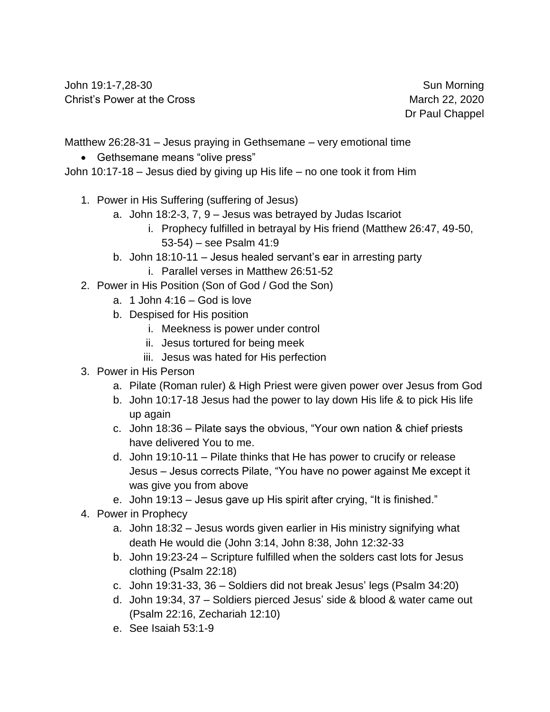John 19:1-7,28-30 Sun Morning Christ's Power at the Cross **March 22, 2020** 

Dr Paul Chappel

Matthew 26:28-31 – Jesus praying in Gethsemane – very emotional time

• Gethsemane means "olive press"

John 10:17-18 – Jesus died by giving up His life – no one took it from Him

- 1. Power in His Suffering (suffering of Jesus)
	- a. John 18:2-3, 7, 9 Jesus was betrayed by Judas Iscariot
		- i. Prophecy fulfilled in betrayal by His friend (Matthew 26:47, 49-50, 53-54) – see Psalm 41:9
	- b. John 18:10-11 Jesus healed servant's ear in arresting party
		- i. Parallel verses in Matthew 26:51-52
- 2. Power in His Position (Son of God / God the Son)
	- a. 1 John 4:16 God is love
	- b. Despised for His position
		- i. Meekness is power under control
		- ii. Jesus tortured for being meek
		- iii. Jesus was hated for His perfection
- 3. Power in His Person
	- a. Pilate (Roman ruler) & High Priest were given power over Jesus from God
	- b. John 10:17-18 Jesus had the power to lay down His life & to pick His life up again
	- c. John 18:36 Pilate says the obvious, "Your own nation & chief priests have delivered You to me.
	- d. John 19:10-11 Pilate thinks that He has power to crucify or release Jesus – Jesus corrects Pilate, "You have no power against Me except it was give you from above
	- e. John 19:13 Jesus gave up His spirit after crying, "It is finished."
- 4. Power in Prophecy
	- a. John 18:32 Jesus words given earlier in His ministry signifying what death He would die (John 3:14, John 8:38, John 12:32-33
	- b. John 19:23-24 Scripture fulfilled when the solders cast lots for Jesus clothing (Psalm 22:18)
	- c. John 19:31-33, 36 Soldiers did not break Jesus' legs (Psalm 34:20)
	- d. John 19:34, 37 Soldiers pierced Jesus' side & blood & water came out (Psalm 22:16, Zechariah 12:10)
	- e. See Isaiah 53:1-9